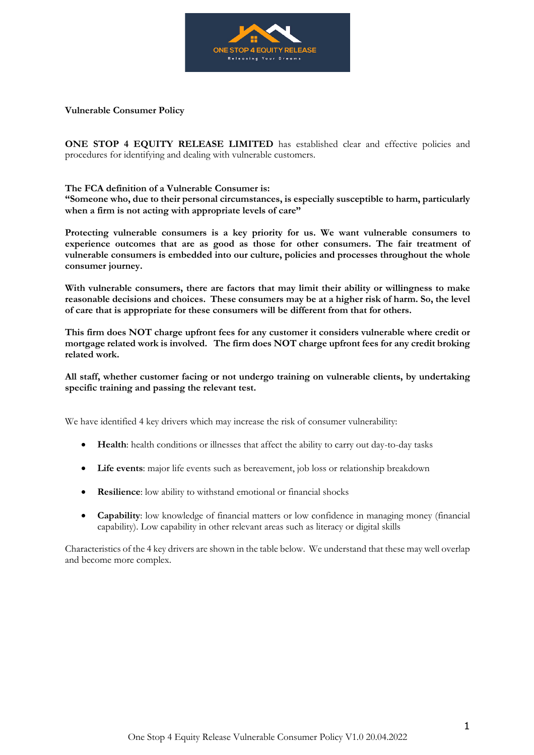

**Vulnerable Consumer Policy**

**ONE STOP 4 EQUITY RELEASE LIMITED** has established clear and effective policies and procedures for identifying and dealing with vulnerable customers.

## **The FCA definition of a Vulnerable Consumer is:**

**"Someone who, due to their personal circumstances, is especially susceptible to harm, particularly when a firm is not acting with appropriate levels of care"**

**Protecting vulnerable consumers is a key priority for us. We want vulnerable consumers to experience outcomes that are as good as those for other consumers. The fair treatment of vulnerable consumers is embedded into our culture, policies and processes throughout the whole consumer journey.**

**With vulnerable consumers, there are factors that may limit their ability or willingness to make reasonable decisions and choices. These consumers may be at a higher risk of harm. So, the level of care that is appropriate for these consumers will be different from that for others.**

**This firm does NOT charge upfront fees for any customer it considers vulnerable where credit or mortgage related work is involved. The firm does NOT charge upfront fees for any credit broking related work.**

**All staff, whether customer facing or not undergo training on vulnerable clients, by undertaking specific training and passing the relevant test.**

We have identified 4 key drivers which may increase the risk of consumer vulnerability:

- **Health**: health conditions or illnesses that affect the ability to carry out day-to-day tasks
- **Life events**: major life events such as bereavement, job loss or relationship breakdown
- **Resilience**: low ability to withstand emotional or financial shocks
- **Capability**: low knowledge of financial matters or low confidence in managing money (financial capability). Low capability in other relevant areas such as literacy or digital skills

Characteristics of the 4 key drivers are shown in the table below. We understand that these may well overlap and become more complex.